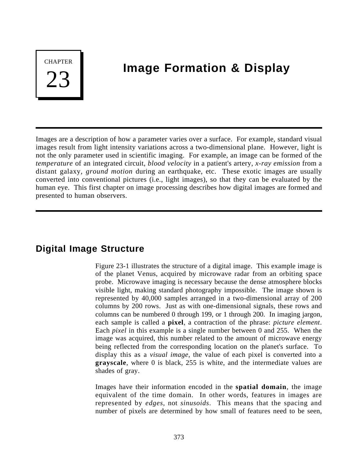**CHAPTER** 

# **Image Formation & Display**

Images are a description of how a parameter varies over a surface. For example, standard visual images result from light intensity variations across a two-dimensional plane. However, light is not the only parameter used in scientific imaging. For example, an image can be formed of the *temperature* of an integrated circuit, *blood velocity* in a patient's artery, *x-ray emission* from a distant galaxy, *ground motion* during an earthquake, etc. These exotic images are usually converted into conventional pictures (i.e., light images), so that they can be evaluated by the human eye. This first chapter on image processing describes how digital images are formed and presented to human observers.

# **Digital Image Structure**

Figure 23-1 illustrates the structure of a digital image. This example image is of the planet Venus, acquired by microwave radar from an orbiting space probe. Microwave imaging is necessary because the dense atmosphere blocks visible light, making standard photography impossible. The image shown is represented by 40,000 samples arranged in a two-dimensional array of 200 columns by 200 rows. Just as with one-dimensional signals, these rows and columns can be numbered 0 through 199, or 1 through 200. In imaging jargon, each sample is called a **pixel**, a contraction of the phrase: *picture element*. Each *pixel* in this example is a single number between 0 and 255. When the image was acquired, this number related to the amount of microwave energy being reflected from the corresponding location on the planet's surface. To display this as a *visual image*, the value of each pixel is converted into a **grayscale**, where 0 is black, 255 is white, and the intermediate values are shades of gray.

Images have their information encoded in the **spatial domain**, the image equivalent of the time domain. In other words, features in images are represented by *edges*, not *sinusoids*. This means that the spacing and number of pixels are determined by how small of features need to be seen,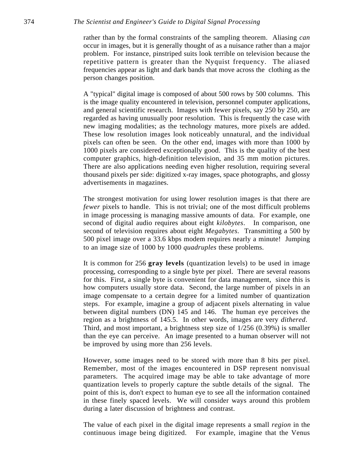### 374 *The Scientist and Engineer's Guide to Digital Signal Processing*

rather than by the formal constraints of the sampling theorem. Aliasing *can* occur in images, but it is generally thought of as a nuisance rather than a major problem. For instance, pinstriped suits look terrible on television because the repetitive pattern is greater than the Nyquist frequency. The aliased frequencies appear as light and dark bands that move across the clothing as the person changes position.

A "typical" digital image is composed of about 500 rows by 500 columns. This is the image quality encountered in television, personnel computer applications, and general scientific research. Images with fewer pixels, say 250 by 250, are regarded as having unusually poor resolution. This is frequently the case with new imaging modalities; as the technology matures, more pixels are added. These low resolution images look noticeably unnatural, and the individual pixels can often be seen. On the other end, images with more than 1000 by 1000 pixels are considered exceptionally good. This is the quality of the best computer graphics, high-definition television, and 35 mm motion pictures. There are also applications needing even higher resolution, requiring several thousand pixels per side: digitized x-ray images, space photographs, and glossy advertisements in magazines.

The strongest motivation for using lower resolution images is that there are *fewer* pixels to handle. This is not trivial; one of the most difficult problems in image processing is managing massive amounts of data. For example, one second of digital audio requires about eight *kilobytes*. In comparison, one second of television requires about eight *Megabytes.* Transmitting a 500 by 500 pixel image over a 33.6 kbps modem requires nearly a minute! Jumping to an image size of 1000 by 1000 *quadruples* these problems.

It is common for 256 **gray levels** (quantization levels) to be used in image processing, corresponding to a single byte per pixel. There are several reasons for this. First, a single byte is convenient for data management, since this is how computers usually store data. Second, the large number of pixels in an image compensate to a certain degree for a limited number of quantization steps. For example, imagine a group of adjacent pixels alternating in value between digital numbers (DN) 145 and 146. The human eye perceives the region as a brightness of 145.5. In other words, images are very *dithered*. Third, and most important, a brightness step size of 1/256 (0.39%) is smaller than the eye can perceive. An image presented to a human observer will not be improved by using more than 256 levels.

However, some images need to be stored with more than 8 bits per pixel. Remember, most of the images encountered in DSP represent nonvisual parameters. The acquired image may be able to take advantage of more quantization levels to properly capture the subtle details of the signal. The point of this is, don't expect to human eye to see all the information contained in these finely spaced levels. We will consider ways around this problem during a later discussion of brightness and contrast.

The value of each pixel in the digital image represents a small *region* in the continuous image being digitized. For example, imagine that the Venus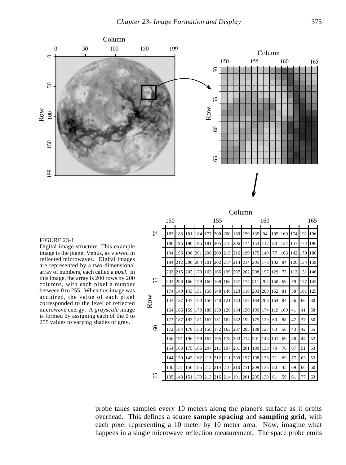

Digital image structure. This example image is the planet Venus, as viewed in reflected microwaves. Digital images are represented by a two-dimensional array of numbers, each called a *pixel*. In this image, the array is 200 rows by 200 columns, with each pixel a number between 0 to 255. When this image was acquired, the value of each pixel corresponded to the level of reflected microwave energy. A *grayscale* image is formed by assigning each of the 0 to 255 values to varying shades of gray.



probe takes samples every 10 meters along the planet's surface as it orbits overhead. This defines a square **sample spacing** and **sampling grid,** with each pixel representing a 10 meter by 10 meter area. Now, imagine what happens in a single microwave reflection measurement. The space probe emits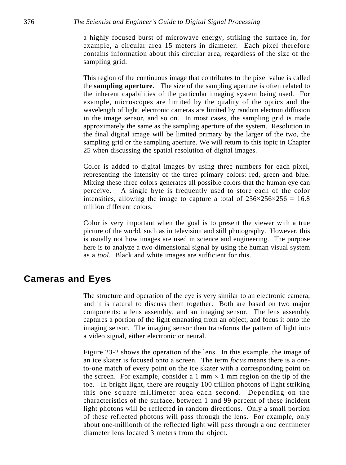a highly focused burst of microwave energy, striking the surface in, for example, a circular area 15 meters in diameter. Each pixel therefore contains information about this circular area, regardless of the size of the sampling grid.

This region of the continuous image that contributes to the pixel value is called the **sampling aperture**. The size of the sampling aperture is often related to the inherent capabilities of the particular imaging system being used. For example, microscopes are limited by the quality of the optics and the wavelength of light, electronic cameras are limited by random electron diffusion in the image sensor, and so on. In most cases, the sampling grid is made approximately the same as the sampling aperture of the system. Resolution in the final digital image will be limited primary by the larger of the two, the sampling grid or the sampling aperture. We will return to this topic in Chapter 25 when discussing the spatial resolution of digital images.

Color is added to digital images by using three numbers for each pixel, representing the intensity of the three primary colors: red, green and blue. Mixing these three colors generates all possible colors that the human eye can perceive. A single byte is frequently used to store each of the color intensities, allowing the image to capture a total of  $256\times256\times256 = 16.8$ million different colors.

Color is very important when the goal is to present the viewer with a true picture of the world, such as in television and still photography. However, this is usually not how images are used in science and engineering. The purpose here is to analyze a two-dimensional signal by using the human visual system as a *tool*. Black and white images are sufficient for this.

# **Cameras and Eyes**

The structure and operation of the eye is very similar to an electronic camera, and it is natural to discuss them together. Both are based on two major components: a lens assembly, and an imaging sensor. The lens assembly captures a portion of the light emanating from an object, and focus it onto the imaging sensor. The imaging sensor then transforms the pattern of light into a video signal, either electronic or neural.

Figure 23-2 shows the operation of the lens. In this example, the image of an ice skater is focused onto a screen. The term *focus* means there is a oneto-one match of every point on the ice skater with a corresponding point on the screen. For example, consider a 1 mm  $\times$  1 mm region on the tip of the toe. In bright light, there are roughly 100 trillion photons of light striking this one square millimeter area each second. Depending on the characteristics of the surface, between 1 and 99 percent of these incident light photons will be reflected in random directions. Only a small portion of these reflected photons will pass through the lens. For example, only about one-millionth of the reflected light will pass through a one centimeter diameter lens located 3 meters from the object.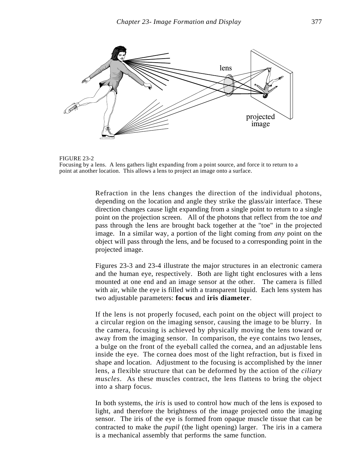



Focusing by a lens. A lens gathers light expanding from a point source, and force it to return to a point at another location. This allows a lens to project an image onto a surface.

Refraction in the lens changes the direction of the individual photons, depending on the location and angle they strike the glass/air interface. These direction changes cause light expanding from a single point to return to a single point on the projection screen. All of the photons that reflect from the toe *and* pass through the lens are brought back together at the "toe" in the projected image. In a similar way, a portion of the light coming from *any* point on the object will pass through the lens, and be focused to a corresponding point in the projected image.

Figures 23-3 and 23-4 illustrate the major structures in an electronic camera and the human eye, respectively. Both are light tight enclosures with a lens mounted at one end and an image sensor at the other. The camera is filled with air, while the eye is filled with a transparent liquid. Each lens system has two adjustable parameters: **focus** and **iris diameter**.

If the lens is not properly focused, each point on the object will project to a circular region on the imaging sensor, causing the image to be blurry. In the camera, focusing is achieved by physically moving the lens toward or away from the imaging sensor. In comparison, the eye contains two lenses, a bulge on the front of the eyeball called the cornea, and an adjustable lens inside the eye. The cornea does most of the light refraction, but is fixed in shape and location. Adjustment to the focusing is accomplished by the inner lens, a flexible structure that can be deformed by the action of the *ciliary muscles*. As these muscles contract, the lens flattens to bring the object into a sharp focus.

In both systems, the *iris* is used to control how much of the lens is exposed to light, and therefore the brightness of the image projected onto the imaging sensor. The iris of the eye is formed from opaque muscle tissue that can be contracted to make the *pupil* (the light opening) larger. The iris in a camera is a mechanical assembly that performs the same function.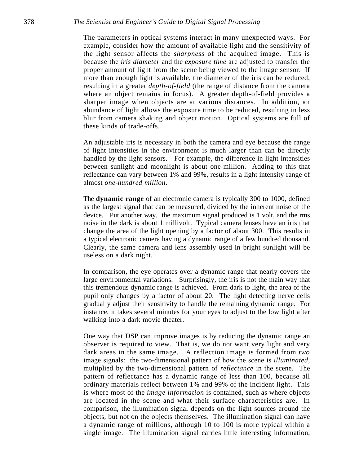The parameters in optical systems interact in many unexpected ways. For example, consider how the amount of available light and the sensitivity of the light sensor affects the *sharpness* of the acquired image. This is because the *iris diameter* and the *exposure time* are adjusted to transfer the proper amount of light from the scene being viewed to the image sensor. If more than enough light is available, the diameter of the iris can be reduced, resulting in a greater *depth-of-field* (the range of distance from the camera where an object remains in focus). A greater depth-of-field provides a sharper image when objects are at various distances. In addition, an abundance of light allows the exposure time to be reduced, resulting in less blur from camera shaking and object motion. Optical systems are full of these kinds of trade-offs.

An adjustable iris is necessary in both the camera and eye because the range of light intensities in the environment is much larger than can be directly handled by the light sensors. For example, the difference in light intensities between sunlight and moonlight is about one-million. Adding to this that reflectance can vary between 1% and 99%, results in a light intensity range of almost *one-hundred million*.

The **dynamic range** of an electronic camera is typically 300 to 1000, defined as the largest signal that can be measured, divided by the inherent noise of the device. Put another way, the maximum signal produced is 1 volt, and the rms noise in the dark is about 1 millivolt. Typical camera lenses have an iris that change the area of the light opening by a factor of about 300. This results in a typical electronic camera having a dynamic range of a few hundred thousand. Clearly, the same camera and lens assembly used in bright sunlight will be useless on a dark night.

In comparison, the eye operates over a dynamic range that nearly covers the large environmental variations. Surprisingly, the iris is not the main way that this tremendous dynamic range is achieved. From dark to light, the area of the pupil only changes by a factor of about 20. The light detecting nerve cells gradually adjust their sensitivity to handle the remaining dynamic range. For instance, it takes several minutes for your eyes to adjust to the low light after walking into a dark movie theater.

One way that DSP can improve images is by reducing the dynamic range an observer is required to view. That is, we do not want very light and very dark areas in the same image. A reflection image is formed from *two* image signals: the two-dimensional pattern of how the scene is *illuminated*, multiplied by the two-dimensional pattern of *reflectance* in the scene. The pattern of reflectance has a dynamic range of less than 100, because all ordinary materials reflect between 1% and 99% of the incident light. This is where most of the *image information* is contained, such as where objects are located in the scene and what their surface characteristics are. In comparison, the illumination signal depends on the light sources around the objects, but not on the objects themselves. The illumination signal can have a dynamic range of millions, although 10 to 100 is more typical within a single image. The illumination signal carries little interesting information,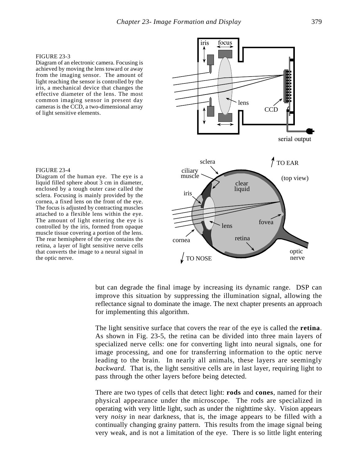Diagram of an electronic camera. Focusing is achieved by moving the lens toward or away from the imaging sensor. The amount of light reaching the sensor is controlled by the iris, a mechanical device that changes the effective diameter of the lens. The most common imaging sensor in present day cameras is the CCD, a two-dimensional array of light sensitive elements.



FIGURE 23-4

Diagram of the human eye. The eye is a liquid filled sphere about 3 cm in diameter, enclosed by a tough outer case called the sclera. Focusing is mainly provided by the cornea, a fixed lens on the front of the eye. The focus is adjusted by contracting muscles attached to a flexible lens within the eye. The amount of light entering the eye is controlled by the iris, formed from opaque muscle tissue covering a portion of the lens. The rear hemisphere of the eye contains the retina, a layer of light sensitive nerve cells that converts the image to a neural signal in the optic nerve.

> but can degrade the final image by increasing its dynamic range. DSP can improve this situation by suppressing the illumination signal, allowing the reflectance signal to dominate the image. The next chapter presents an approach for implementing this algorithm.

> The light sensitive surface that covers the rear of the eye is called the **retina**. As shown in Fig. 23-5, the retina can be divided into three main layers of specialized nerve cells: one for converting light into neural signals, one for image processing, and one for transferring information to the optic nerve leading to the brain. In nearly all animals, these layers are seemingly *backward.* That is, the light sensitive cells are in last layer, requiring light to pass through the other layers before being detected.

> There are two types of cells that detect light: **rods** and **cones**, named for their physical appearance under the microscope. The rods are specialized in operating with very little light, such as under the nighttime sky. Vision appears very *noisy* in near darkness, that is, the image appears to be filled with a continually changing grainy pattern. This results from the image signal being very weak, and is not a limitation of the eye. There is so little light entering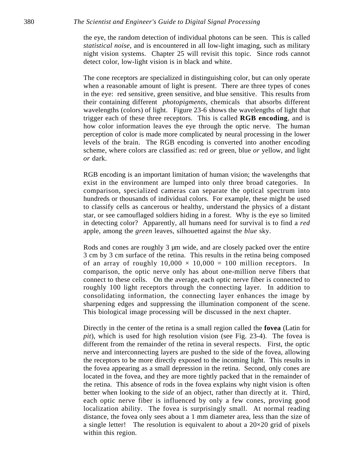the eye, the random detection of individual photons can be seen. This is called *statistical noise*, and is encountered in all low-light imaging, such as military night vision systems. Chapter 25 will revisit this topic. Since rods cannot detect color, low-light vision is in black and white.

The cone receptors are specialized in distinguishing color, but can only operate when a reasonable amount of light is present. There are three types of cones in the eye: red sensitive, green sensitive, and blue sensitive. This results from their containing different *photopigments*, chemicals that absorbs different wavelengths (colors) of light. Figure 23-6 shows the wavelengths of light that trigger each of these three receptors. This is called **RGB encoding**, and is how color information leaves the eye through the optic nerve. The human perception of color is made more complicated by neural processing in the lower levels of the brain. The RGB encoding is converted into another encoding scheme, where colors are classified as: red *or* green, blue *or* yellow, and light *or* dark.

RGB encoding is an important limitation of human vision; the wavelengths that exist in the environment are lumped into only three broad categories. In comparison, specialized cameras can separate the optical spectrum into hundreds or thousands of individual colors. For example, these might be used to classify cells as cancerous or healthy, understand the physics of a distant star, or see camouflaged soldiers hiding in a forest. Why is the eye so limited in detecting color? Apparently, all humans need for survival is to find a *red* apple, among the *green* leaves, silhouetted against the *blue* sky.

Rods and cones are roughly 3 µm wide, and are closely packed over the entire 3 cm by 3 cm surface of the retina. This results in the retina being composed of an array of roughly  $10,000 \times 10,000 = 100$  million receptors. In comparison, the optic nerve only has about one-million nerve fibers that connect to these cells. On the average, each optic nerve fiber is connected to roughly 100 light receptors through the connecting layer. In addition to consolidating information, the connecting layer enhances the image by sharpening edges and suppressing the illumination component of the scene. This biological image processing will be discussed in the next chapter.

Directly in the center of the retina is a small region called the **fovea** (Latin for *pit*), which is used for high resolution vision (see Fig. 23-4). The fovea is different from the remainder of the retina in several respects. First, the optic nerve and interconnecting layers are pushed to the side of the fovea, allowing the receptors to be more directly exposed to the incoming light. This results in the fovea appearing as a small depression in the retina. Second, only cones are located in the fovea, and they are more tightly packed that in the remainder of the retina. This absence of rods in the fovea explains why night vision is often better when looking to the *side* of an object, rather than directly at it. Third, each optic nerve fiber is influenced by only a few cones, proving good localization ability. The fovea is surprisingly small. At normal reading distance, the fovea only sees about a 1 mm diameter area, less than the size of a single letter! The resolution is equivalent to about a  $20\times20$  grid of pixels within this region.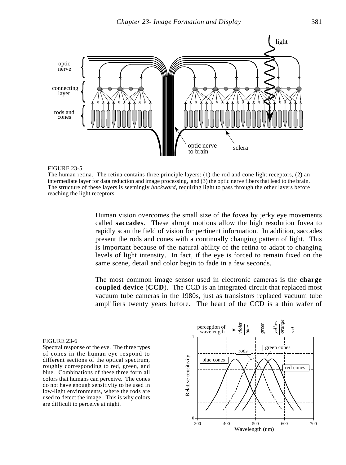

The human retina. The retina contains three principle layers: (1) the rod and cone light receptors, (2) an intermediate layer for data reduction and image processing, and (3) the optic nerve fibers that lead to the brain. The structure of these layers is seemingly *backward*, requiring light to pass through the other layers before reaching the light receptors.

Human vision overcomes the small size of the fovea by jerky eye movements called **saccades**. These abrupt motions allow the high resolution fovea to rapidly scan the field of vision for pertinent information. In addition, saccades present the rods and cones with a continually changing pattern of light. This is important because of the natural ability of the retina to adapt to changing levels of light intensity. In fact, if the eye is forced to remain fixed on the same scene, detail and color begin to fade in a few seconds.

The most common image sensor used in electronic cameras is the **charge coupled device** (**CCD**). The CCD is an integrated circuit that replaced most vacuum tube cameras in the 1980s, just as transistors replaced vacuum tube amplifiers twenty years before. The heart of the CCD is a thin wafer of

### FIGURE 23-6

Spectral response of the eye. The three types of cones in the human eye respond to different sections of the optical spectrum, roughly corresponding to red, green, and blue. Combinations of these three form all colors that humans can perceive. The cones do not have enough sensitivity to be used in low-light environments, where the rods are used to detect the image. This is why colors are difficult to perceive at night.

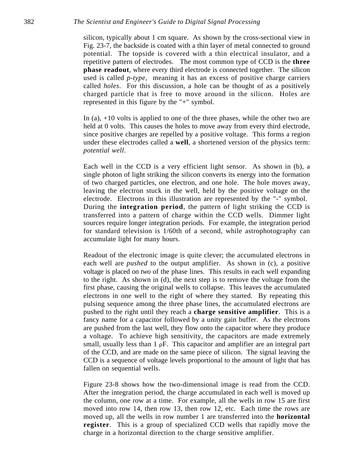silicon, typically about 1 cm square. As shown by the cross-sectional view in Fig. 23-7, the backside is coated with a thin layer of metal connected to ground potential. The topside is covered with a thin electrical insulator, and a repetitive pattern of electrodes. The most common type of CCD is the **three phase readout**, where every third electrode is connected together. The silicon used is called *p-type*, meaning it has an excess of positive charge carriers called *holes*. For this discussion, a hole can be thought of as a positively charged particle that is free to move around in the silicon. Holes are represented in this figure by the "+" symbol.

In (a), +10 volts is applied to one of the three phases, while the other two are held at 0 volts. This causes the holes to move away from every third electrode, since positive charges are repelled by a positive voltage. This forms a region under these electrodes called a **well**, a shortened version of the physics term: *potential well*.

Each well in the CCD is a very efficient light sensor. As shown in (b), a single photon of light striking the silicon converts its energy into the formation of two charged particles, one electron, and one hole. The hole moves away, leaving the electron stuck in the well, held by the positive voltage on the electrode. Electrons in this illustration are represented by the "-" symbol. During the **integration period**, the pattern of light striking the CCD is transferred into a pattern of charge within the CCD wells. Dimmer light sources require longer integration periods. For example, the integration period for standard television is 1/60th of a second, while astrophotography can accumulate light for many hours.

Readout of the electronic image is quite clever; the accumulated electrons in each well are *pushed* to the output amplifier. As shown in (c), a positive voltage is placed on *two* of the phase lines. This results in each well expanding to the right. As shown in (d), the next step is to remove the voltage from the first phase, causing the original wells to collapse. This leaves the accumulated electrons in one well to the right of where they started. By repeating this pulsing sequence among the three phase lines, the accumulated electrons are pushed to the right until they reach a **charge sensitive amplifier**. This is a fancy name for a capacitor followed by a unity gain buffer. As the electrons are pushed from the last well, they flow onto the capacitor where they produce a voltage. To achieve high sensitivity, the capacitors are made extremely small, usually less than  $1 \rho F$ . This capacitor and amplifier are an integral part of the CCD, and are made on the same piece of silicon. The signal leaving the CCD is a sequence of voltage levels proportional to the amount of light that has fallen on sequential wells.

Figure 23-8 shows how the two-dimensional image is read from the CCD. After the integration period, the charge accumulated in each well is moved up the column, one row at a time. For example, all the wells in row 15 are first moved into row 14, then row 13, then row 12, etc. Each time the rows are moved up, all the wells in row number 1 are transferred into the **horizontal register**. This is a group of specialized CCD wells that rapidly move the charge in a horizontal direction to the charge sensitive amplifier.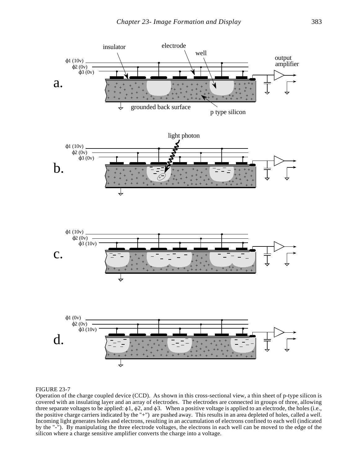

Operation of the charge coupled device (CCD). As shown in this cross-sectional view, a thin sheet of p-type silicon is covered with an insulating layer and an array of electrodes. The electrodes are connected in groups of three, allowing three separate voltages to be applied:  $\phi$ 1,  $\phi$ 2, and  $\phi$ 3. When a positive voltage is applied to an electrode, the holes (i.e., the positive charge carriers indicated by the "+") are pushed away. This results in an area depleted of holes, called a *well*. Incoming light generates holes and electrons, resulting in an accumulation of electrons confined to each well (indicated by the "-"). By manipulating the three electrode voltages, the electrons in each well can be moved to the edge of the silicon where a charge sensitive amplifier converts the charge into a voltage.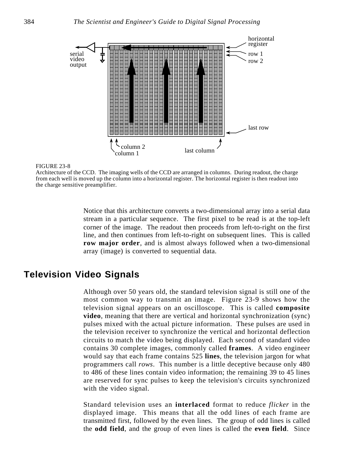

Architecture of the CCD. The imaging wells of the CCD are arranged in columns. During readout, the charge from each well is moved up the column into a horizontal register. The horizontal register is then readout into the charge sensitive preamplifier.

Notice that this architecture converts a two-dimensional array into a serial data stream in a particular sequence. The first pixel to be read is at the top-left corner of the image. The readout then proceeds from left-to-right on the first line, and then continues from left-to-right on subsequent lines. This is called **row major order**, and is almost always followed when a two-dimensional array (image) is converted to sequential data.

### **Television Video Signals**

Although over 50 years old, the standard television signal is still one of the most common way to transmit an image. Figure 23-9 shows how the television signal appears on an oscilloscope. This is called **composite video**, meaning that there are vertical and horizontal synchronization (sync) pulses mixed with the actual picture information. These pulses are used in the television receiver to synchronize the vertical and horizontal deflection circuits to match the video being displayed. Each second of standard video contains 30 complete images, commonly called **frames**. A video engineer would say that each frame contains 525 **lines**, the television jargon for what programmers call *rows*. This number is a little deceptive because only 480 to 486 of these lines contain video information; the remaining 39 to 45 lines are reserved for sync pulses to keep the television's circuits synchronized with the video signal.

Standard television uses an **interlaced** format to reduce *flicker* in the displayed image. This means that all the odd lines of each frame are transmitted first, followed by the even lines. The group of odd lines is called the **odd field**, and the group of even lines is called the **even field**. Since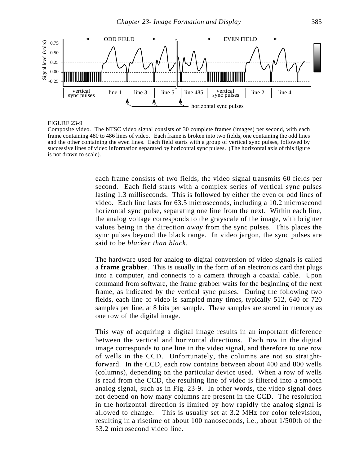

Composite video. The NTSC video signal consists of 30 complete frames (images) per second, with each frame containing 480 to 486 lines of video. Each frame is broken into two fields, one containing the odd lines and the other containing the even lines. Each field starts with a group of vertical sync pulses, followed by successive lines of video information separated by horizontal sync pulses. (The horizontal axis of this figure is not drawn to scale).

each frame consists of two fields, the video signal transmits 60 fields per second. Each field starts with a complex series of vertical sync pulses lasting 1.3 milliseconds. This is followed by either the even or odd lines of video. Each line lasts for 63.5 microseconds, including a 10.2 microsecond horizontal sync pulse, separating one line from the next. Within each line, the analog voltage corresponds to the grayscale of the image, with brighter values being in the direction *away* from the sync pulses. This places the sync pulses beyond the black range. In video jargon, the sync pulses are said to be *blacker than black*.

The hardware used for analog-to-digital conversion of video signals is called a **frame grabber**. This is usually in the form of an electronics card that plugs into a computer, and connects to a camera through a coaxial cable. Upon command from software, the frame grabber waits for the beginning of the next frame, as indicated by the vertical sync pulses. During the following two fields, each line of video is sampled many times, typically 512, 640 or 720 samples per line, at 8 bits per sample. These samples are stored in memory as one row of the digital image.

This way of acquiring a digital image results in an important difference between the vertical and horizontal directions. Each row in the digital image corresponds to one line in the video signal, and therefore to one row of wells in the CCD. Unfortunately, the columns are not so straightforward. In the CCD, each row contains between about 400 and 800 wells (columns), depending on the particular device used. When a row of wells is read from the CCD, the resulting line of video is filtered into a smooth analog signal, such as in Fig. 23-9. In other words, the video signal does not depend on how many columns are present in the CCD. The resolution in the horizontal direction is limited by how rapidly the analog signal is allowed to change. This is usually set at 3.2 MHz for color television, resulting in a risetime of about 100 nanoseconds, i.e., about 1/500th of the 53.2 microsecond video line.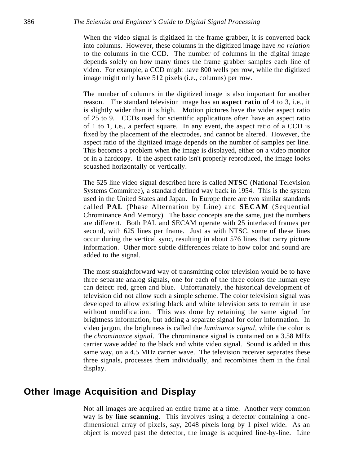When the video signal is digitized in the frame grabber, it is converted back into columns. However, these columns in the digitized image have *no relation* to the columns in the CCD. The number of columns in the digital image depends solely on how many times the frame grabber samples each line of video. For example, a CCD might have 800 wells per row, while the digitized image might only have 512 pixels (i.e., columns) per row.

The number of columns in the digitized image is also important for another reason. The standard television image has an **aspect ratio** of 4 to 3, i.e., it is slightly wider than it is high. Motion pictures have the wider aspect ratio of 25 to 9. CCDs used for scientific applications often have an aspect ratio of 1 to 1, i.e., a perfect square. In any event, the aspect ratio of a CCD is fixed by the placement of the electrodes, and cannot be altered. However, the aspect ratio of the digitized image depends on the number of samples per line. This becomes a problem when the image is displayed, either on a video monitor or in a hardcopy. If the aspect ratio isn't properly reproduced, the image looks squashed horizontally or vertically.

The 525 line video signal described here is called **NTSC** (National Television Systems Committee), a standard defined way back in 1954. This is the system used in the United States and Japan. In Europe there are two similar standards called **PAL** (Phase Alternation by Line) and **SECAM** (Sequential Chrominance And Memory). The basic concepts are the same, just the numbers are different. Both PAL and SECAM operate with 25 interlaced frames per second, with 625 lines per frame. Just as with NTSC, some of these lines occur during the vertical sync, resulting in about 576 lines that carry picture information. Other more subtle differences relate to how color and sound are added to the signal.

The most straightforward way of transmitting color television would be to have three separate analog signals, one for each of the three colors the human eye can detect: red, green and blue. Unfortunately, the historical development of television did not allow such a simple scheme. The color television signal was developed to allow existing black and white television sets to remain in use without modification. This was done by retaining the same signal for brightness information, but adding a separate signal for color information. In video jargon, the brightness is called the *luminance signal*, while the color is the *chrominance signal*. The chrominance signal is contained on a 3.58 MHz carrier wave added to the black and white video signal. Sound is added in this same way, on a 4.5 MHz carrier wave. The television receiver separates these three signals, processes them individually, and recombines them in the final display.

# **Other Image Acquisition and Display**

Not all images are acquired an entire frame at a time. Another very common way is by **line scanning**. This involves using a detector containing a onedimensional array of pixels, say, 2048 pixels long by 1 pixel wide. As an object is moved past the detector, the image is acquired line-by-line. Line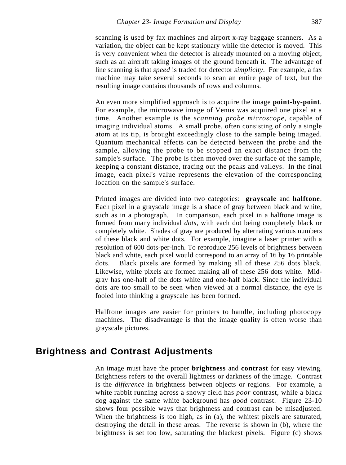scanning is used by fax machines and airport x-ray baggage scanners. As a variation, the object can be kept stationary while the detector is moved. This is very convenient when the detector is already mounted on a moving object, such as an aircraft taking images of the ground beneath it. The advantage of line scanning is that *speed* is traded for detector *simplicity*. For example, a fax machine may take several seconds to scan an entire page of text, but the resulting image contains thousands of rows and columns.

An even more simplified approach is to acquire the image **point-by-point**. For example, the microwave image of Venus was acquired one pixel at a time. Another example is the *scanning probe microscope*, capable of imaging individual atoms. A small probe, often consisting of only a single atom at its tip, is brought exceedingly close to the sample being imaged. Quantum mechanical effects can be detected between the probe and the sample, allowing the probe to be stopped an exact distance from the sample's surface. The probe is then moved over the surface of the sample, keeping a constant distance, tracing out the peaks and valleys. In the final image, each pixel's value represents the elevation of the corresponding location on the sample's surface.

Printed images are divided into two categories: **grayscale** and **halftone**. Each pixel in a grayscale image is a shade of gray between black and white, such as in a photograph. In comparison, each pixel in a halftone image is formed from many individual *dots*, with each dot being completely black or completely white. Shades of gray are produced by alternating various numbers of these black and white dots. For example, imagine a laser printer with a resolution of 600 dots-per-inch. To reproduce 256 levels of brightness between black and white, each pixel would correspond to an array of 16 by 16 printable dots. Black pixels are formed by making all of these 256 dots black. Likewise, white pixels are formed making all of these 256 dots white. Midgray has one-half of the dots white and one-half black. Since the individual dots are too small to be seen when viewed at a normal distance, the eye is fooled into thinking a grayscale has been formed.

Halftone images are easier for printers to handle, including photocopy machines. The disadvantage is that the image quality is often worse than grayscale pictures.

### **Brightness and Contrast Adjustments**

An image must have the proper **brightness** and **contrast** for easy viewing. Brightness refers to the overall lightness or darkness of the image. Contrast is the *difference* in brightness between objects or regions. For example, a white rabbit running across a snowy field has *poor* contrast, while a black dog against the same white background has *good* contrast. Figure 23-10 shows four possible ways that brightness and contrast can be misadjusted. When the brightness is too high, as in (a), the whitest pixels are saturated, destroying the detail in these areas. The reverse is shown in (b), where the brightness is set too low, saturating the blackest pixels. Figure (c) shows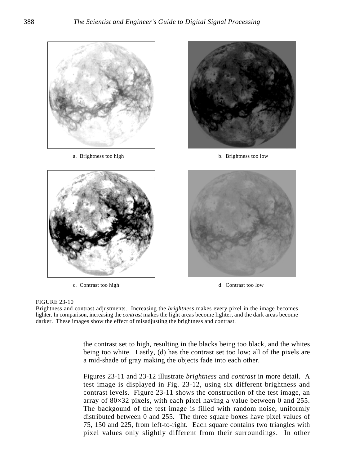

a. Brightness too high b. Brightness too low



c. Contrast too high d. Contrast too low





Brightness and contrast adjustments. Increasing the *brightness* makes every pixel in the image becomes lighter. In comparison, increasing the *contrast* makes the light areas become lighter, and the dark areas become darker. These images show the effect of misadjusting the brightness and contrast.

> the contrast set to high, resulting in the blacks being too black, and the whites being too white. Lastly, (d) has the contrast set too low; all of the pixels are a mid-shade of gray making the objects fade into each other.

> Figures 23-11 and 23-12 illustrate *brightness* and *contrast* in more detail. A test image is displayed in Fig. 23-12, using six different brightness and contrast levels. Figure 23-11 shows the construction of the test image, an array of 80×32 pixels, with each pixel having a value between 0 and 255. The backgound of the test image is filled with random noise, uniformly distributed between 0 and 255. The three square boxes have pixel values of 75, 150 and 225, from left-to-right. Each square contains two triangles with pixel values only slightly different from their surroundings. In other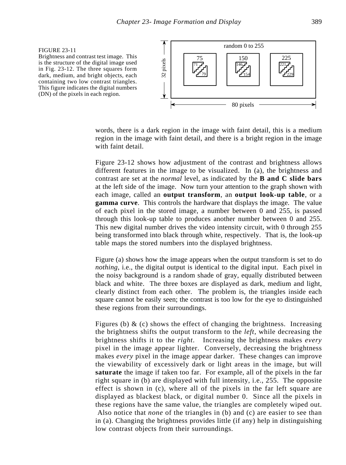Brightness and contrast test image. This is the structure of the digital image used in Fig. 23-12. The three squares form dark, medium, and bright objects, each containing two low contrast triangles. This figure indicates the digital numbers (DN) of the pixels in each region.



words, there is a dark region in the image with faint detail, this is a medium region in the image with faint detail, and there is a bright region in the image with faint detail.

Figure 23-12 shows how adjustment of the contrast and brightness allows different features in the image to be visualized. In (a), the brightness and contrast are set at the *normal* level, as indicated by the **B and C slide bars** at the left side of the image. Now turn your attention to the graph shown with each image, called an **output transform**, an **output look-up table**, or a **gamma curve**. This controls the hardware that displays the image. The value of each pixel in the stored image, a number between 0 and 255, is passed through this look-up table to produces another number between 0 and 255. This new digital number drives the video intensity circuit, with 0 through 255 being transformed into black through white, respectively. That is, the look-up table maps the stored numbers into the displayed brightness.

Figure (a) shows how the image appears when the output transform is set to do *nothing*, i.e., the digital output is identical to the digital input. Each pixel in the noisy background is a random shade of gray, equally distributed between black and white. The three boxes are displayed as dark, medium and light, clearly distinct from each other. The problem is, the triangles inside each square cannot be easily seen; the contrast is too low for the eye to distinguished these regions from their surroundings.

Figures (b)  $\&$  (c) shows the effect of changing the brightness. Increasing the brightness shifts the output transform to the *left*, while decreasing the brightness shifts it to the *right*. Increasing the brightness makes *every* pixel in the image appear lighter. Conversely, decreasing the brightness makes *every* pixel in the image appear darker. These changes can improve the viewability of excessively dark or light areas in the image, but will **saturate** the image if taken too far. For example, all of the pixels in the far right square in (b) are displayed with full intensity, i.e., 255. The opposite effect is shown in (c), where all of the pixels in the far left square are displayed as blackest black, or digital number 0. Since all the pixels in these regions have the same value, the triangles are completely wiped out. Also notice that *none* of the triangles in (b) and (c) are easier to see than in (a). Changing the brightness provides little (if any) help in distinguishing low contrast objects from their surroundings.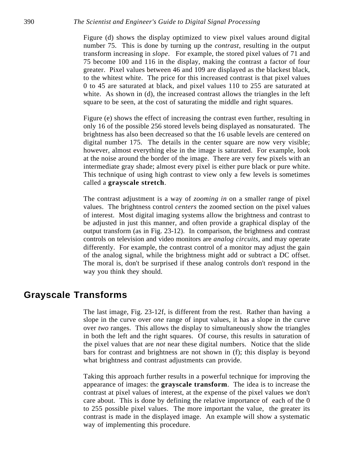Figure (d) shows the display optimized to view pixel values around digital number 75. This is done by turning up the *contrast*, resulting in the output transform increasing in *slope*. For example, the stored pixel values of 71 and 75 become 100 and 116 in the display, making the contrast a factor of four greater. Pixel values between 46 and 109 are displayed as the blackest black, to the whitest white. The price for this increased contrast is that pixel values 0 to 45 are saturated at black, and pixel values 110 to 255 are saturated at white. As shown in (d), the increased contrast allows the triangles in the left square to be seen, at the cost of saturating the middle and right squares.

Figure (e) shows the effect of increasing the contrast even further, resulting in only 16 of the possible 256 stored levels being displayed as nonsaturated. The brightness has also been decreased so that the 16 usable levels are centered on digital number 175. The details in the center square are now very visible; however, almost everything else in the image is saturated. For example, look at the noise around the border of the image. There are very few pixels with an intermediate gray shade; almost every pixel is either pure black or pure white. This technique of using high contrast to view only a few levels is sometimes called a **grayscale stretch**.

The contrast adjustment is a way of *zooming in* on a smaller range of pixel values. The brightness control *centers* the zoomed section on the pixel values of interest. Most digital imaging systems allow the brightness and contrast to be adjusted in just this manner, and often provide a graphical display of the output transform (as in Fig. 23-12). In comparison, the brightness and contrast controls on television and video monitors are *analog circuits*, and may operate differently. For example, the contrast control of a monitor may adjust the gain of the analog signal, while the brightness might add or subtract a DC offset. The moral is, don't be surprised if these analog controls don't respond in the way you think they should.

# **Grayscale Transforms**

The last image, Fig. 23-12f, is different from the rest. Rather than having a slope in the curve over *one* range of input values, it has a slope in the curve over *two* ranges. This allows the display to simultaneously show the triangles in both the left and the right squares. Of course, this results in saturation of the pixel values that are *not* near these digital numbers. Notice that the slide bars for contrast and brightness are not shown in (f); this display is beyond what brightness and contrast adjustments can provide.

Taking this approach further results in a powerful technique for improving the appearance of images: the **grayscale transform**. The idea is to increase the contrast at pixel values of interest, at the expense of the pixel values we don't care about. This is done by defining the relative importance of each of the 0 to 255 possible pixel values. The more important the value, the greater its contrast is made in the displayed image. An example will show a systematic way of implementing this procedure.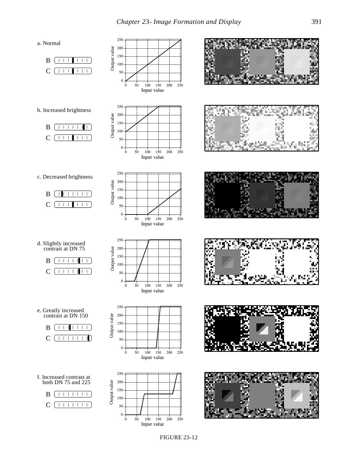a. Normal





b. Increased brightness





c. Decreased brightness

|  | LΓ | $\mathbf{L}$ |        |  |  |
|--|----|--------------|--------|--|--|
|  |    | L            | $\Box$ |  |  |





|  |              | $\Box$ |  | - 1 L              |  |
|--|--------------|--------|--|--------------------|--|
|  | $\mathbf{I}$ |        |  | 1   1   <b>A</b> T |  |











250





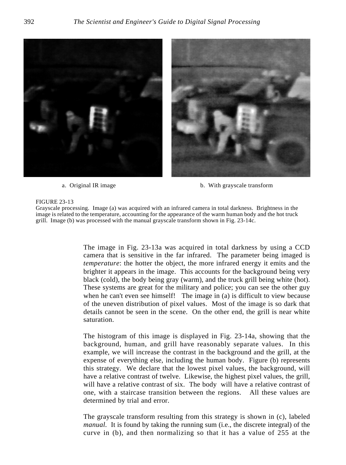



a. Original IR image b. With grayscale transform

Grayscale processing. Image (a) was acquired with an infrared camera in total darkness. Brightness in the image is related to the temperature, accounting for the appearance of the warm human body and the hot truck grill. Image (b) was processed with the manual grayscale transform shown in Fig. 23-14c.

> The image in Fig. 23-13a was acquired in total darkness by using a CCD camera that is sensitive in the far infrared. The parameter being imaged is *temperature*: the hotter the object, the more infrared energy it emits and the brighter it appears in the image. This accounts for the background being very black (cold), the body being gray (warm), and the truck grill being white (hot). These systems are great for the military and police; you can see the other guy when he can't even see himself! The image in (a) is difficult to view because of the uneven distribution of pixel values. Most of the image is so dark that details cannot be seen in the scene. On the other end, the grill is near white saturation.

> The histogram of this image is displayed in Fig. 23-14a, showing that the background, human, and grill have reasonably separate values. In this example, we will increase the contrast in the background and the grill, at the expense of everything else, including the human body. Figure (b) represents this strategy. We declare that the lowest pixel values, the background, will have a relative contrast of twelve. Likewise, the highest pixel values, the grill, will have a relative contrast of six. The body will have a relative contrast of one, with a staircase transition between the regions. All these values are determined by trial and error.

> The grayscale transform resulting from this strategy is shown in (c), labeled *manual.* It is found by taking the running sum (i.e., the discrete integral) of the curve in (b), and then normalizing so that it has a value of 255 at the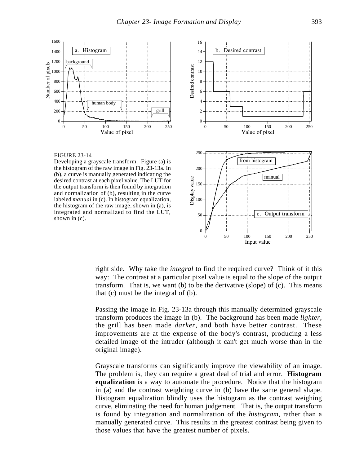

Developing a grayscale transform. Figure (a) is the histogram of the raw image in Fig. 23-13a. In (b), a curve is manually generated indicating the desired contrast at each pixel value. The LUT for the output transform is then found by integration and normalization of (b), resulting in the curve labeled *manual* in (c). In histogram equalization, the histogram of the raw image, shown in (a), is integrated and normalized to find the LUT, shown in (c).



right side. Why take the *integral* to find the required curve? Think of it this way: The contrast at a particular pixel value is equal to the slope of the output transform. That is, we want (b) to be the derivative (slope) of (c). This means that (c) must be the integral of (b).

Passing the image in Fig. 23-13a through this manually determined grayscale transform produces the image in (b). The background has been made *lighter*, the grill has been made *darker*, and both have better contrast. These improvements are at the expense of the body's contrast, producing a less detailed image of the intruder (although it can't get much worse than in the original image).

Grayscale transforms can significantly improve the viewability of an image. The problem is, they can require a great deal of trial and error. **Histogram equalization** is a way to automate the procedure. Notice that the histogram in (a) and the contrast weighting curve in (b) have the same general shape. Histogram equalization blindly uses the histogram as the contrast weighing curve, eliminating the need for human judgement. That is, the output transform is found by integration and normalization of the *histogram*, rather than a manually generated curve. This results in the greatest contrast being given to those values that have the greatest number of pixels.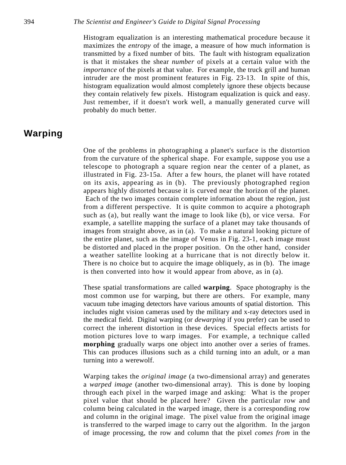Histogram equalization is an interesting mathematical procedure because it maximizes the *entropy* of the image, a measure of how much information is transmitted by a fixed number of bits. The fault with histogram equalization is that it mistakes the shear *number* of pixels at a certain value with the *importance* of the pixels at that value. For example, the truck grill and human intruder are the most prominent features in Fig. 23-13. In spite of this, histogram equalization would almost completely ignore these objects because they contain relatively few pixels. Histogram equalization is quick and easy. Just remember, if it doesn't work well, a manually generated curve will probably do much better.

# **Warping**

One of the problems in photographing a planet's surface is the distortion from the curvature of the spherical shape. For example, suppose you use a telescope to photograph a square region near the center of a planet, as illustrated in Fig. 23-15a. After a few hours, the planet will have rotated on its axis, appearing as in (b). The previously photographed region appears highly distorted because it is curved near the horizon of the planet. Each of the two images contain complete information about the region, just from a different perspective. It is quite common to acquire a photograph such as (a), but really want the image to look like (b), or vice versa. For example, a satellite mapping the surface of a planet may take thousands of images from straight above, as in (a). To make a natural looking picture of the entire planet, such as the image of Venus in Fig. 23-1, each image must be distorted and placed in the proper position. On the other hand, consider a weather satellite looking at a hurricane that is not directly below it. There is no choice but to acquire the image obliquely, as in (b). The image is then converted into how it would appear from above, as in (a).

These spatial transformations are called **warping**. Space photography is the most common use for warping, but there are others. For example, many vacuum tube imaging detectors have various amounts of spatial distortion. This includes night vision cameras used by the military and x-ray detectors used in the medical field. Digital warping (or *dewarping* if you prefer) can be used to correct the inherent distortion in these devices. Special effects artists for motion pictures love to warp images. For example, a technique called **morphing** gradually warps one object into another over a series of frames. This can produces illusions such as a child turning into an adult, or a man turning into a werewolf.

Warping takes the *original image* (a two-dimensional array) and generates a *warped image* (another two-dimensional array). This is done by looping through each pixel in the warped image and asking: What is the proper pixel value that should be placed here? Given the particular row and column being calculated in the warped image, there is a corresponding row and column in the original image. The pixel value from the original image is transferred to the warped image to carry out the algorithm. In the jargon of image processing, the row and column that the pixel *comes from* in the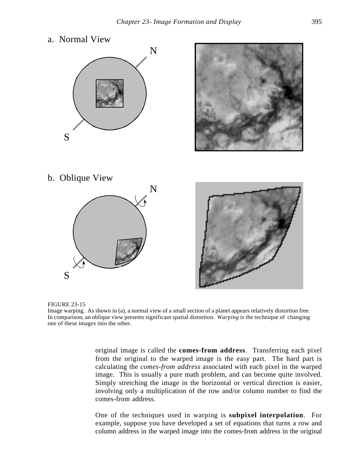# a. Normal View





b. Oblique View



FIGURE 23-15

Image warping. As shown in (a), a normal view of a small section of a planet appears relatively distortion free. In comparison, an oblique view presents significant spatial distortion. *Warping* is the technique of changing one of these images into the other.

original image is called the **comes-from address**. Transferring each pixel from the original to the warped image is the easy part. The hard part is calculating the *comes-from address* associated with each pixel in the warped image. This is usually a pure math problem, and can become quite involved. Simply stretching the image in the horizontal or vertical direction is easier, involving only a multiplication of the row and/or column number to find the comes-from address.

One of the techniques used in warping is **subpixel interpolation**. For example, suppose you have developed a set of equations that turns a row and column address in the warped image into the comes-from address in the original